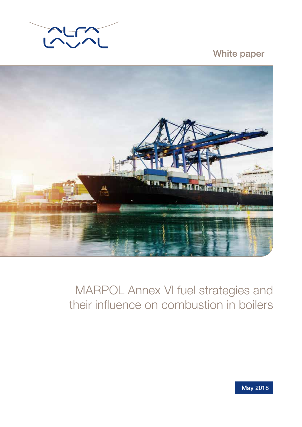

White paper



# MARPOL Annex VI fuel strategies and their influence on combustion in boilers

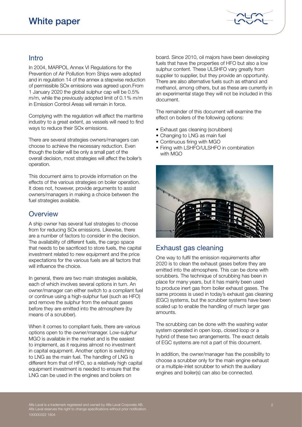

## Intro

In 2004, MARPOL Annex VI Regulations for the Prevention of Air Pollution from Ships were adopted and in regulation 14 of the annex a stepwise reduction of permissible SOx emissions was agreed upon.From 1 January 2020 the global sulphur cap will be 0.5% m/m, while the previously adopted limit of 0.1% m/m in Emission Control Areas will remain in force.

Complying with the regulation will affect the maritime industry to a great extent, as vessels will need to find ways to reduce their SOx emissions.

There are several strategies owners/managers can choose to achieve the necessary reduction. Even though the boiler will be only a small part of the overall decision, most strategies will affect the boiler's operation.

This document aims to provide information on the effects of the various strategies on boiler operation. It does not, however, provide arguments to assist owners/managers in making a choice between the fuel strategies available.

### **Overview**

A ship owner has several fuel strategies to choose from for reducing SOx emissions. Likewise, there are a number of factors to consider in the decision. The availability of different fuels, the cargo space that needs to be sacrificed to store fuels, the capital investment related to new equipment and the price expectations for the various fuels are all factors that will influence the choice.

In general, there are two main strategies available, each of which involves several options in turn. An owner/manager can either switch to a compliant fuel or continue using a high-sulphur fuel (such as HFO) and remove the sulphur from the exhaust gases before they are emitted into the atmosphere (by means of a scrubber).

When it comes to compliant fuels, there are various options open to the owner/manager. Low-sulphur MGO is available in the market and is the easiest to implement, as it requires almost no investment in capital equipment. Another option is switching to LNG as the main fuel. The handling of LNG is different from that of HFO, so a relatively high capital equipment investment is needed to ensure that the LNG can be used in the engines and boilers on

board. Since 2010, oil majors have been developing fuels that have the properties of HFO but also a low sulphur content. These ULSHFO vary greatly from supplier to supplier, but they provide an opportunity. There are also alternative fuels such as ethanol and methanol, among others, but as these are currently in an experimental stage they will not be included in this document.

The remainder of this document will examine the effect on boilers of the following options:

- Exhaust gas cleaning (scrubbers)
- Changing to LNG as main fuel
- Continuous firing with MGO
- Firing with LSHFO/ULSHFO in combination with MGO



## Exhaust gas cleaning

One way to fulfil the emission requirements after 2020 is to clean the exhaust gases before they are emitted into the atmosphere. This can be done with scrubbers. The technique of scrubbing has been in place for many years, but it has mainly been used to produce inert gas from boiler exhaust gases. The same process is used in today's exhaust gas cleaning (EGC) systems, but the scrubber systems have been scaled up to enable the handling of much larger gas amounts.

The scrubbing can be done with the washing water system operated in open loop, closed loop or a hybrid of these two arrangements. The exact details of EGC systems are not a part of this document.

In addition, the owner/manager has the possibility to choose a scrubber only for the main engine exhaust or a multiple-inlet scrubber to which the auxiliary engines and boiler(s) can also be connected.

Alfa Laval is a trademark registered and owned by Alfa Laval Corporate AB. Alfa Laval reserves the right to change specifications without prior notification. 100000322 1804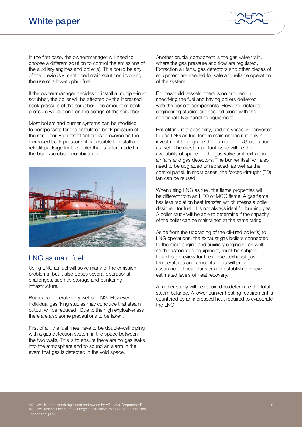

In the first case, the owner/manager will need to choose a different solution to control the emissions of the auxiliary engines and boiler(s). This could be any of the previously mentioned main solutions involving the use of a low-sulphur fuel.

If the owner/manager decides to install a multiple-inlet scrubber, the boiler will be affected by the increased back pressure of the scrubber. The amount of back pressure will depend on the design of the scrubber.

Most boilers and burner systems can be modified to compensate for the calculated back pressure of the scrubber. For retrofit solutions to overcome the increased back pressure, it is possible to install a retrofit package for the boiler that is tailor-made for the boiler/scrubber combination.



## LNG as main fuel

Using LNG as fuel will solve many of the emission problems, but it also poses several operational challenges, such as storage and bunkering infrastructure.

Boilers can operate very well on LNG. However, individual gas firing studies may conclude that steam output will be reduced. Due to the high explosiveness there are also some precautions to be taken.

First of all, the fuel lines have to be double-wall piping with a gas detection system in the space between the two walls. This is to ensure there are no gas leaks into the atmosphere and to sound an alarm in the event that gas is detected in the void space.

Another crucial component is the gas valve train, where the gas pressure and flow are regulated. Extraction air fans, gas detectors and other pieces of equipment are needed for safe and reliable operation of the system.

For newbuild vessels, there is no problem in specifying the fuel and having boilers delivered with the correct components. However, detailed engineering studies are needed along with the additional LNG handling equipment.

Retrofitting is a possibility, and if a vessel is converted to use LNG as fuel for the main engine it is only a investment to upgrade the burner for LNG operation as well. The most important issue will be the availability of space for the gas valve unit, extraction air fans and gas detectors. The burner itself will also need to be upgraded or replaced, as well as the control panel. In most cases, the forced-draught (FD) fan can be reused.

When using LNG as fuel, the flame properties will be different from an HFO or MGO flame. A gas flame has less radiation heat transfer, which means a boiler designed for fuel oil is not always ideal for burning gas. A boiler study will be able to determine if the capacity of the boiler can be maintained at the same rating.

Aside from the upgrading of the oil-fired boiler(s) to LNG operations, the exhaust gas boilers connected to the main engine and auxiliary engine(s), as well as the associated equipment, must be subject to a design review for the revised exhaust gas temperatures and amounts. This will provide assurance of heat transfer and establish the new estimated levels of heat recovery.

A further study will be required to determine the total steam balance. A lower bunker heating requirement is countered by an increased heat required to evaporate the LNG.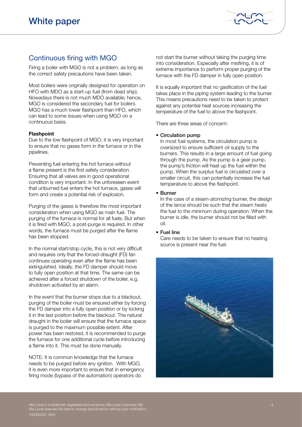

# Continuous firing with MGO

Firing a boiler with MGO is not a problem, as long as the correct safety precautions have been taken.

Most boilers were originally designed for operation on HFO with MDO as a start-up fuel (from dead ship). Nowadays there is not much MDO available; hence, MGO is considered the secondary fuel for boilers. MGO has a much lower flashpoint than HFO, which can lead to some issues when using MGO on a continuous basis.

#### **Flashpoint**

Due to the low flashpoint of MGO, it is very important to ensure that no gases form in the furnace or in the pipelines.

Preventing fuel entering the hot furnace without a flame present is the first safety consideration. Ensuring that all valves are in good operational condition is very important. In the unforeseen event that unburned fuel enters the hot furnace, gases will form and create a potential risk of explosion.

Purging of the gases is therefore the most important consideration when using MGO as main fuel. The purging of the furnace is normal for all fuels. But when it is fired with MGO, a post-purge is required. In other words, the furnace must be purged after the flame has been stopped.

In the normal start/stop cycle, this is not very difficult and requires only that the forced-draught (FD) fan continues operating even after the flame has been extinguished. Ideally, the FD damper should move to fully open position at that time. The same can be achieved after a forced shutdown of the boiler, e.g. shutdown activated by an alarm.

In the event that the burner stops due to a blackout, purging of the boiler must be ensured either by forcing the FD damper into a fully open position or by locking it in the last position before the blackout. The natural draught in the boiler will ensure that the furnace space is purged to the maximum possible extent. After power has been restored, it is recommended to purge the furnace for one additional cycle before introducing a flame into it. This must be done manually.

NOTE: It is common knowledge that the furnace needs to be purged before any ignition. With MGO, it is even more important to ensure that in emergency firing mode (bypass of the automation) operators do

not start the burner without taking the purging time into consideration. Especially after misfiring, it is of extreme importance to perform proper purging of the furnace with the FD damper in fully open position.

It is equally important that no gasification of the fuel takes place in the piping system leading to the burner. This means precautions need to be taken to protect against any potential heat sources increasing the temperature of the fuel to above the flashpoint.

There are three areas of concern:

#### • Circulation pump

In most fuel systems, the circulation pump is oversized to ensure sufficient oil supply to the burners. This results in a large amount of fuel going through the pump. As the pump is a gear pump, the pump's friction will heat up the fuel within the pump. When the surplus fuel is circulated over a smaller circuit, this can potentially increase the fuel temperature to above the flashpoint.

#### • Burner

In the case of a steam-atomizing burner, the design of the lance should be such that the steam heats the fuel to the minimum during operation. When the burner is idle, the burner should not be filled with oil.

#### • Fuel line

Care needs to be taken to ensure that no heating source is present near the fuel.



Alfa Laval is a trademark registered and owned by Alfa Laval Corporate AB. Alfa Laval reserves the right to change specifications without prior notification. 100000322 1804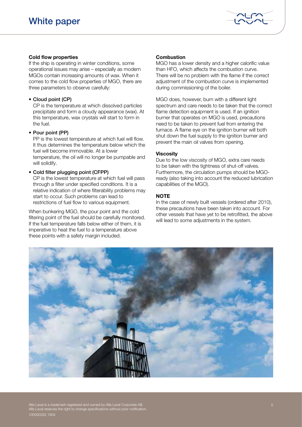

#### Cold flow properties

If the ship is operating in winter conditions, some operational issues may arise – especially as modern MGOs contain increasing amounts of wax. When it comes to the cold flow properties of MGO, there are three parameters to observe carefully:

#### • Cloud point (CP)

CP is the temperature at which dissolved particles precipitate and form a cloudy appearance (wax). At this temperature, wax crystals will start to form in the fuel.

#### • Pour point (PP)

PP is the lowest temperature at which fuel will flow. It thus determines the temperature below which the fuel will become immovable. At a lower temperature, the oil will no longer be pumpable and will solidify.

#### • Cold filter plugging point (CFPP)

CP is the lowest temperature at which fuel will pass through a filter under specified conditions. It is a relative indication of where filterability problems may start to occur. Such problems can lead to restrictions of fuel flow to various equipment.

When bunkering MGO, the pour point and the cold filtering point of the fuel should be carefully monitored. If the fuel temperature falls below either of them, it is imperative to heat the fuel to a temperature above these points with a safety margin included.

#### **Combustion**

MGO has a lower density and a higher calorific value than HFO, which affects the combustion curve. There will be no problem with the flame if the correct adjustment of the combustion curve is implemented during commissioning of the boiler.

MGO does, however, burn with a different light spectrum and care needs to be taken that the correct flame detection equipment is used. If an ignition burner that operates on MGO is used, precautions need to be taken to prevent fuel from entering the furnace. A flame eye on the ignition burner will both shut down the fuel supply to the ignition burner and prevent the main oil valves from opening.

#### **Viscosity**

Due to the low viscosity of MGO, extra care needs to be taken with the tightness of shut-off valves. Furthermore, the circulation pumps should be MGOready (also taking into account the reduced lubrication capabilities of the MGO).

#### **NOTE**

In the case of newly built vessels (ordered after 2010), these precautions have been taken into account. For other vessels that have yet to be retrofitted, the above will lead to some adjustments in the system.



Alfa Laval is a trademark registered and owned by Alfa Laval Corporate AB. Alfa Laval reserves the right to change specifications without prior notification. 100000322 1804